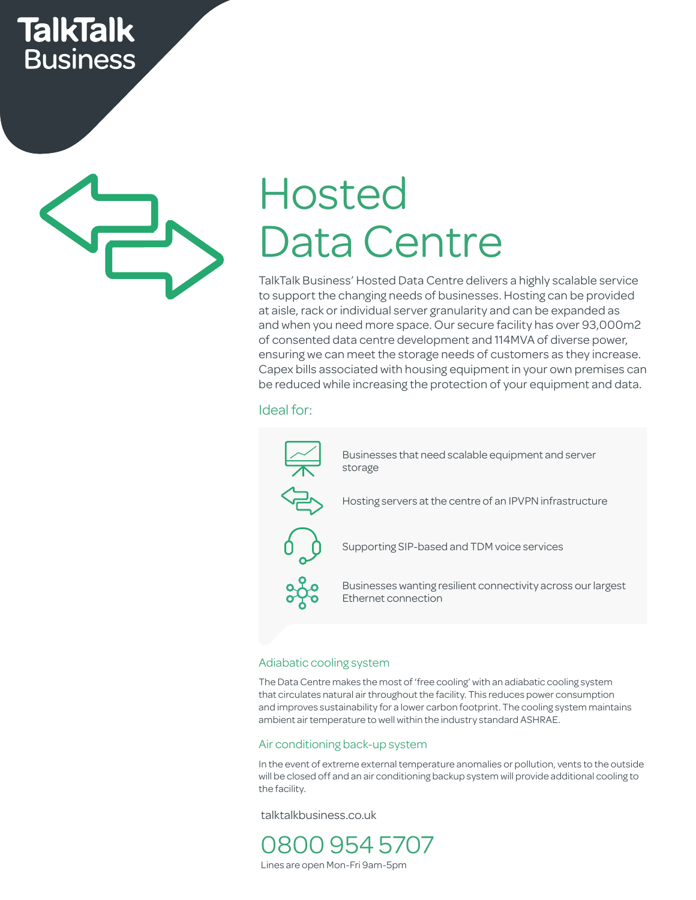## **TalkTalk Business**



# Hosted Data Centre

TalkTalk Business' Hosted Data Centre delivers a highly scalable service to support the changing needs of businesses. Hosting can be provided at aisle, rack or individual server granularity and can be expanded as and when you need more space. Our secure facility has over 93,000m2 of consented data centre development and 114MVA of diverse power, ensuring we can meet the storage needs of customers as they increase. Capex bills associated with housing equipment in your own premises can Capex bills associated with housing equipment in your own premises cal<br>be reduced while increasing the protection of your equipment and data. Capex bills associated with housir<br>be reduced while increasing the p

#### Ideal for:



#### Adiabatic cooling system

The Data Centre makes the most of 'free cooling' with an adiabatic cooling system that circulates natural air throughout the facility. This reduces power consumption and improves sustainability for a lower carbon footprint. The cooling system maintains ambient air temperature to well within the industry standard ASHRAE.

#### Air conditioning back-up system

In the event of extreme external temperature anomalies or pollution, vents to the outside will be closed off and an air conditioning backup system will provide additional cooling to the facility.

talktalkbusiness.co.uk

0800 954 5707 Lines are open Mon-Fri 9am-5pm